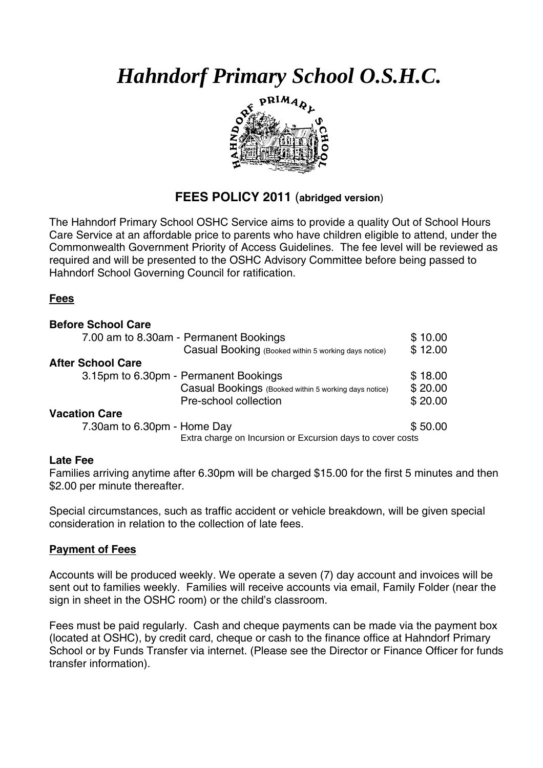*Hahndorf Primary School O.S.H.C.* 



# **FEES POLICY 2011** (**abridged version**)

The Hahndorf Primary School OSHC Service aims to provide a quality Out of School Hours Care Service at an affordable price to parents who have children eligible to attend, under the Commonwealth Government Priority of Access Guidelines. The fee level will be reviewed as required and will be presented to the OSHC Advisory Committee before being passed to Hahndorf School Governing Council for ratification.

## **Fees**

| <b>Before School Care</b>                             |                                                            |  |
|-------------------------------------------------------|------------------------------------------------------------|--|
| 7.00 am to 8.30am - Permanent Bookings                | \$10.00                                                    |  |
| Casual Booking (Booked within 5 working days notice)  | \$12.00                                                    |  |
| <b>After School Care</b>                              |                                                            |  |
| 3.15pm to 6.30pm - Permanent Bookings                 |                                                            |  |
| Casual Bookings (Booked within 5 working days notice) | \$20.00                                                    |  |
| Pre-school collection                                 | \$20.00                                                    |  |
| <b>Vacation Care</b>                                  |                                                            |  |
| 7.30am to 6.30pm - Home Day                           |                                                            |  |
|                                                       | Extra charge on Incursion or Excursion days to cover costs |  |

#### **Late Fee**

Families arriving anytime after 6.30pm will be charged \$15.00 for the first 5 minutes and then \$2.00 per minute thereafter.

Special circumstances, such as traffic accident or vehicle breakdown, will be given special consideration in relation to the collection of late fees.

## **Payment of Fees**

Accounts will be produced weekly. We operate a seven (7) day account and invoices will be sent out to families weekly. Families will receive accounts via email, Family Folder (near the sign in sheet in the OSHC room) or the child's classroom.

Fees must be paid regularly. Cash and cheque payments can be made via the payment box (located at OSHC), by credit card, cheque or cash to the finance office at Hahndorf Primary School or by Funds Transfer via internet. (Please see the Director or Finance Officer for funds transfer information).